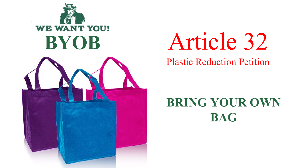

# Article 32

Plastic Reduction Petition

## **BRING YOUR OWN BAG**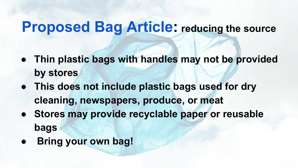## **Proposed Bag Article: reducing the source**

- **● Thin plastic bags with handles may not be provided by stores**
- **● This does not include plastic bags used for dry cleaning, newspapers, produce, or meat**
- **● Stores may provide recyclable paper or reusable bags**
- **Bring your own bag!**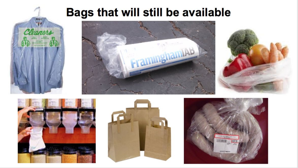#### **Bags that will still be available**







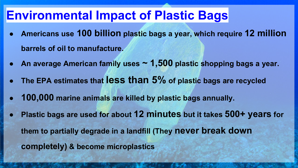### **Environmental Impact of Plastic Bags**

- **● Americans use 100 billion [plastic bags a year,](http://www.wmnorthwest.com/guidelines/plasticvspaper.htm) which require 12 million barrels of oil to manufacture.**
- **● An average American family uses ~ 1,500 [plastic shopping bags a year.](http://www.nrdc.org/media/2008/080109.asp)**
- **● The EPA estimates that less than 5% [of plastic bags are re](http://www.wmnorthwest.com/guidelines/plasticvspaper.htm)cycled**
- **● 100,000 [marine animals](http://www.wmnorthwest.com/guidelines/plasticvspaper.htm) are killed by plastic bags annually.**
- **● Plastic bags are used for about [12 minutes](http://www.environmentmassachusetts.org/sites/environment/files/reports/Bag%20Ban%20Fact%20Sheet%20_0.pdf) but it takes [500+ years](http://www.sprep.org/attachments/Publications/FactSheet/plasticbags.pdf) for them to partially degrade in a landfill (They never break down completely) & become microplastics**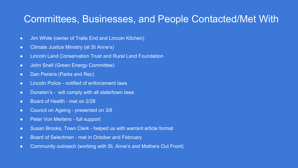#### Committees, Businesses, and People Contacted/Met With

- Jim White (owner of Trails End and Lincoln Kitchen)
- Climate Justice Ministry (at St Anne's)
- Lincoln Land Conservation Trust and Rural Land Foundation
- John Snell (Green Energy Committee)
- Dan Pereira (Parks and Rec)
- Lincoln Police notified of enforcement laws
- Donelan's will comply with all state/town laws
- Board of Health met on 2/28
- Council on Ageing presented on 3/6
- Peter Von Mertens full support
- Susan Brooks, Town Clerk helped us with warrant article format
- Board of Selectmen met in October and February
- Community outreach (working with St. Anne's and Mothers Out Front)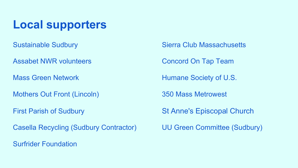#### **Local supporters**

- 
- Assabet NWR volunteers **Concord On Tap Team**
- 
- Mothers Out Front (Lincoln) 350 Mass Metrowest
- 
- Casella Recycling (Sudbury Contractor) UU Green Committee (Sudbury)
- Surfrider Foundation
- Sustainable Sudbury Sierra Club Massachusetts
	-
- Mass Green Network **Humane Society of U.S.** 
	-
- First Parish of Sudbury St Anne's Episcopal Church
	-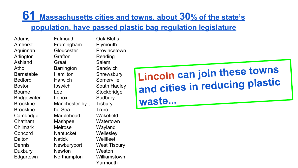#### **61 Massachusetts cities and towns, about 30% of the state's population, have passed plastic bag regulation legislature**

Adams Amherst Aquinnah Arlington Ashland Athol **Barnstable** Bedford Boston Bourne **Bridgewater** Brookline Brookline Cambridge Chatham Chilmark Concord **Dalton** Dennis **Duxbury** Edgartown

Falmouth Framingham **Gloucester** Grafton Great **Barrington Hamilton Harwich Ipswich** Lee Lenox Manchester-by-t he-Sea Marblehead Mashpee Melrose **Nantucket** Natick Newburyport Newton **Northampton** 

Oak Bluffs **Plymouth** Provincetown Reading Salem **Sandwich Shrewsbury** Somerville South Hadley **Stockbridge Sudbury Tisbury Truro Wakefield Watertown** Wayland **Wellesley** Wellfleet West Tisbury **Weston** Williamstown

Yarmouth

**Lincoln can join these towns and cities in reducing plastic waste...**